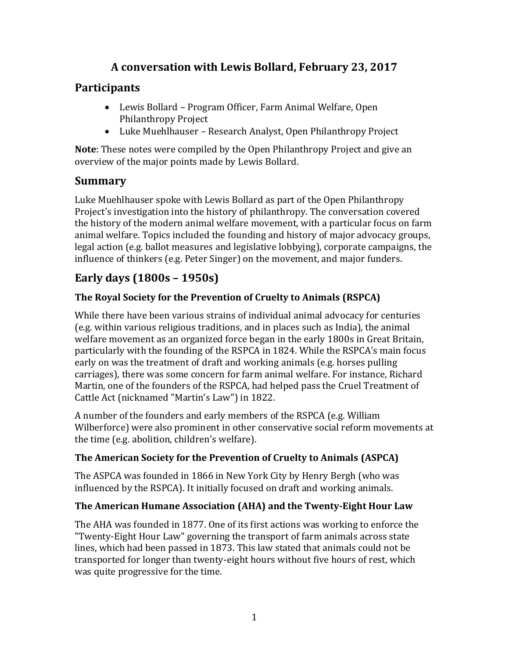# **A conversation with Lewis Bollard, February 23, 2017**

# **Participants**

- Lewis Bollard Program Officer, Farm Animal Welfare, Open Philanthropy Project
- Luke Muehlhauser Research Analyst, Open Philanthropy Project

**Note**: These notes were compiled by the Open Philanthropy Project and give an overview of the major points made by Lewis Bollard.

# **Summary**

Luke Muehlhauser spoke with Lewis Bollard as part of the Open Philanthropy Project's investigation into the history of philanthropy. The conversation covered the history of the modern animal welfare movement, with a particular focus on farm animal welfare. Topics included the founding and history of major advocacy groups, legal action (e.g. ballot measures and legislative lobbying), corporate campaigns, the influence of thinkers (e.g. Peter Singer) on the movement, and major funders.

# **Early days (1800s – 1950s)**

### **The Royal Society for the Prevention of Cruelty to Animals (RSPCA)**

While there have been various strains of individual animal advocacy for centuries (e.g. within various religious traditions, and in places such as India), the animal welfare movement as an organized force began in the early 1800s in Great Britain, particularly with the founding of the RSPCA in 1824. While the RSPCA's main focus early on was the treatment of draft and working animals (e.g. horses pulling carriages), there was some concern for farm animal welfare. For instance, Richard Martin, one of the founders of the RSPCA, had helped pass the Cruel Treatment of Cattle Act (nicknamed "Martin's Law") in 1822.

A number of the founders and early members of the RSPCA (e.g. William Wilberforce) were also prominent in other conservative social reform movements at the time (e.g. abolition, children's welfare).

#### **The American Society for the Prevention of Cruelty to Animals (ASPCA)**

The ASPCA was founded in 1866 in New York City by Henry Bergh (who was influenced by the RSPCA). It initially focused on draft and working animals.

#### **The American Humane Association (AHA) and the Twenty-Eight Hour Law**

The AHA was founded in 1877. One of its first actions was working to enforce the "Twenty-Eight Hour Law" governing the transport of farm animals across state lines, which had been passed in 1873. This law stated that animals could not be transported for longer than twenty-eight hours without five hours of rest, which was quite progressive for the time.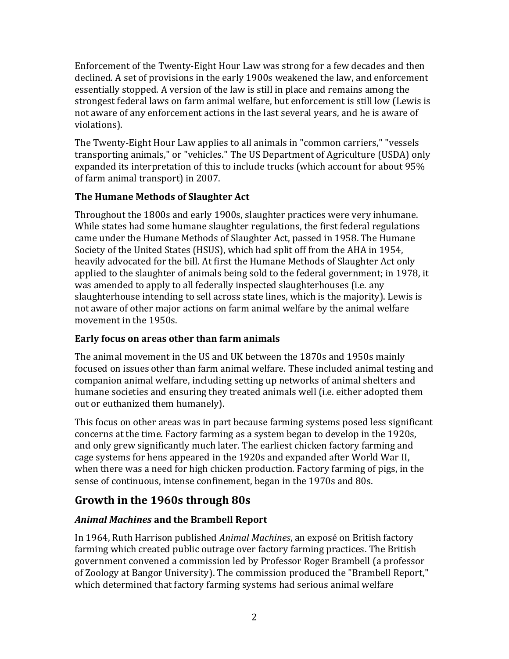Enforcement of the Twenty-Eight Hour Law was strong for a few decades and then declined. A set of provisions in the early 1900s weakened the law, and enforcement essentially stopped. A version of the law is still in place and remains among the strongest federal laws on farm animal welfare, but enforcement is still low (Lewis is not aware of any enforcement actions in the last several years, and he is aware of violations).

The Twenty-Eight Hour Law applies to all animals in "common carriers," "vessels transporting animals," or "vehicles." The US Department of Agriculture (USDA) only expanded its interpretation of this to include trucks (which account for about 95% of farm animal transport) in 2007.

### **The Humane Methods of Slaughter Act**

Throughout the 1800s and early 1900s, slaughter practices were very inhumane. While states had some humane slaughter regulations, the first federal regulations came under the Humane Methods of Slaughter Act, passed in 1958. The Humane Society of the United States (HSUS), which had split off from the AHA in 1954, heavily advocated for the bill. At first the Humane Methods of Slaughter Act only applied to the slaughter of animals being sold to the federal government; in 1978, it was amended to apply to all federally inspected slaughterhouses (i.e. any slaughterhouse intending to sell across state lines, which is the majority). Lewis is not aware of other major actions on farm animal welfare by the animal welfare movement in the 1950s.

### **Early focus on areas other than farm animals**

The animal movement in the US and UK between the 1870s and 1950s mainly focused on issues other than farm animal welfare. These included animal testing and companion animal welfare, including setting up networks of animal shelters and humane societies and ensuring they treated animals well (i.e. either adopted them out or euthanized them humanely).

This focus on other areas was in part because farming systems posed less significant concerns at the time. Factory farming as a system began to develop in the 1920s, and only grew significantly much later. The earliest chicken factory farming and cage systems for hens appeared in the 1920s and expanded after World War II, when there was a need for high chicken production. Factory farming of pigs, in the sense of continuous, intense confinement, began in the 1970s and 80s.

# **Growth in the 1960s through 80s**

### *Animal Machines* **and the Brambell Report**

In 1964, Ruth Harrison published *Animal Machines*, an exposé on British factory farming which created public outrage over factory farming practices. The British government convened a commission led by Professor Roger Brambell (a professor of Zoology at Bangor University). The commission produced the "Brambell Report," which determined that factory farming systems had serious animal welfare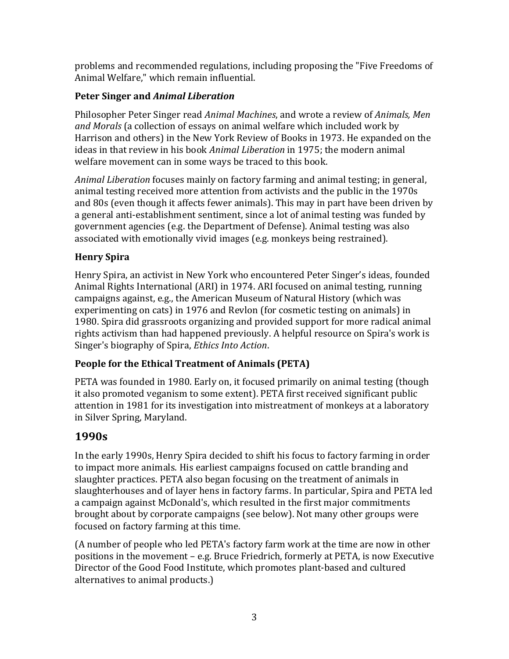problems and recommended regulations, including proposing the "Five Freedoms of Animal Welfare," which remain influential.

### **Peter Singer and** *Animal Liberation*

Philosopher Peter Singer read *Animal Machines*, and wrote a review of *Animals, Men and Morals* (a collection of essays on animal welfare which included work by Harrison and others) in the New York Review of Books in 1973. He expanded on the ideas in that review in his book *Animal Liberation* in 1975; the modern animal welfare movement can in some ways be traced to this book.

*Animal Liberation* focuses mainly on factory farming and animal testing; in general, animal testing received more attention from activists and the public in the 1970s and 80s (even though it affects fewer animals). This may in part have been driven by a general anti-establishment sentiment, since a lot of animal testing was funded by government agencies (e.g. the Department of Defense). Animal testing was also associated with emotionally vivid images (e.g. monkeys being restrained).

### **Henry Spira**

Henry Spira, an activist in New York who encountered Peter Singer's ideas, founded Animal Rights International (ARI) in 1974. ARI focused on animal testing, running campaigns against, e.g., the American Museum of Natural History (which was experimenting on cats) in 1976 and Revlon (for cosmetic testing on animals) in 1980. Spira did grassroots organizing and provided support for more radical animal rights activism than had happened previously. A helpful resource on Spira's work is Singer's biography of Spira, *Ethics Into Action*.

### **People for the Ethical Treatment of Animals (PETA)**

PETA was founded in 1980. Early on, it focused primarily on animal testing (though it also promoted veganism to some extent). PETA first received significant public attention in 1981 for its investigation into mistreatment of monkeys at a laboratory in Silver Spring, Maryland.

# **1990s**

In the early 1990s, Henry Spira decided to shift his focus to factory farming in order to impact more animals. His earliest campaigns focused on cattle branding and slaughter practices. PETA also began focusing on the treatment of animals in slaughterhouses and of layer hens in factory farms. In particular, Spira and PETA led a campaign against McDonald's, which resulted in the first major commitments brought about by corporate campaigns (see below). Not many other groups were focused on factory farming at this time.

(A number of people who led PETA's factory farm work at the time are now in other positions in the movement – e.g. Bruce Friedrich, formerly at PETA, is now Executive Director of the Good Food Institute, which promotes plant-based and cultured alternatives to animal products.)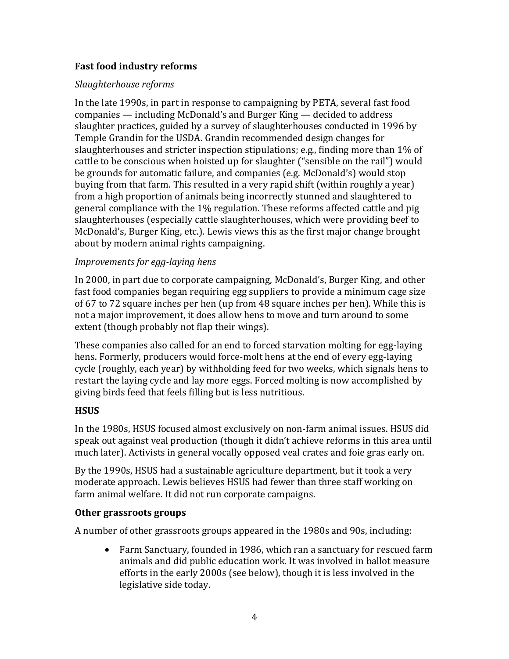#### **Fast food industry reforms**

#### *Slaughterhouse reforms*

In the late 1990s, in part in response to campaigning by PETA, several fast food companies — including McDonald's and Burger King — decided to address slaughter practices, guided by a survey of slaughterhouses conducted in 1996 by Temple Grandin for the USDA. Grandin recommended design changes for slaughterhouses and stricter inspection stipulations; e.g., finding more than 1% of cattle to be conscious when hoisted up for slaughter ("sensible on the rail") would be grounds for automatic failure, and companies (e.g. McDonald's) would stop buying from that farm. This resulted in a very rapid shift (within roughly a year) from a high proportion of animals being incorrectly stunned and slaughtered to general compliance with the 1% regulation. These reforms affected cattle and pig slaughterhouses (especially cattle slaughterhouses, which were providing beef to McDonald's, Burger King, etc.). Lewis views this as the first major change brought about by modern animal rights campaigning.

#### *Improvements for egg-laying hens*

In 2000, in part due to corporate campaigning, McDonald's, Burger King, and other fast food companies began requiring egg suppliers to provide a minimum cage size of 67 to 72 square inches per hen (up from 48 square inches per hen). While this is not a major improvement, it does allow hens to move and turn around to some extent (though probably not flap their wings).

These companies also called for an end to forced starvation molting for egg-laying hens. Formerly, producers would force-molt hens at the end of every egg-laying cycle (roughly, each year) by withholding feed for two weeks, which signals hens to restart the laying cycle and lay more eggs. Forced molting is now accomplished by giving birds feed that feels filling but is less nutritious.

#### **HSUS**

In the 1980s, HSUS focused almost exclusively on non-farm animal issues. HSUS did speak out against veal production (though it didn't achieve reforms in this area until much later). Activists in general vocally opposed veal crates and foie gras early on.

By the 1990s, HSUS had a sustainable agriculture department, but it took a very moderate approach. Lewis believes HSUS had fewer than three staff working on farm animal welfare. It did not run corporate campaigns.

#### **Other grassroots groups**

A number of other grassroots groups appeared in the 1980s and 90s, including:

• Farm Sanctuary, founded in 1986, which ran a sanctuary for rescued farm animals and did public education work. It was involved in ballot measure efforts in the early 2000s (see below), though it is less involved in the legislative side today.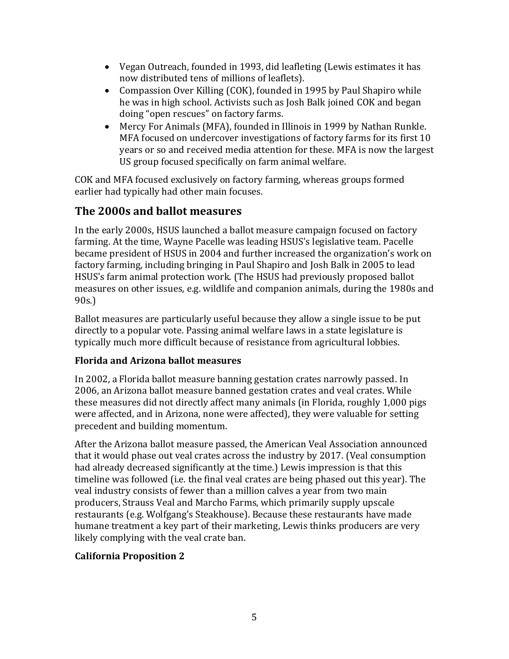- Vegan Outreach, founded in 1993, did leafleting (Lewis estimates it has now distributed tens of millions of leaflets).
- Compassion Over Killing (COK), founded in 1995 by Paul Shapiro while he was in high school. Activists such as Josh Balk joined COK and began doing "open rescues" on factory farms.
- Mercy For Animals (MFA), founded in Illinois in 1999 by Nathan Runkle. MFA focused on undercover investigations of factory farms for its first 10 years or so and received media attention for these. MFA is now the largest US group focused specifically on farm animal welfare.

COK and MFA focused exclusively on factory farming, whereas groups formed earlier had typically had other main focuses.

# **The 2000s and ballot measures**

In the early 2000s, HSUS launched a ballot measure campaign focused on factory farming. At the time, Wayne Pacelle was leading HSUS's legislative team. Pacelle became president of HSUS in 2004 and further increased the organization's work on factory farming, including bringing in Paul Shapiro and Josh Balk in 2005 to lead HSUS's farm animal protection work. (The HSUS had previously proposed ballot measures on other issues, e.g. wildlife and companion animals, during the 1980s and 90s.)

Ballot measures are particularly useful because they allow a single issue to be put directly to a popular vote. Passing animal welfare laws in a state legislature is typically much more difficult because of resistance from agricultural lobbies.

### **Florida and Arizona ballot measures**

In 2002, a Florida ballot measure banning gestation crates narrowly passed. In 2006, an Arizona ballot measure banned gestation crates and veal crates. While these measures did not directly affect many animals (in Florida, roughly 1,000 pigs were affected, and in Arizona, none were affected), they were valuable for setting precedent and building momentum.

After the Arizona ballot measure passed, the American Veal Association announced that it would phase out veal crates across the industry by 2017. (Veal consumption had already decreased significantly at the time.) Lewis impression is that this timeline was followed (i.e. the final veal crates are being phased out this year). The veal industry consists of fewer than a million calves a year from two main producers, Strauss Veal and Marcho Farms, which primarily supply upscale restaurants (e.g. Wolfgang's Steakhouse). Because these restaurants have made humane treatment a key part of their marketing, Lewis thinks producers are very likely complying with the veal crate ban.

### **California Proposition 2**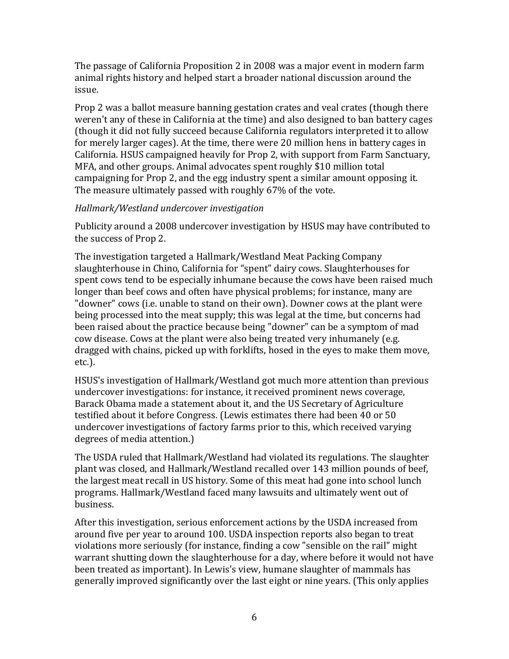The passage of California Proposition 2 in 2008 was a major event in modern farm animal rights history and helped start a broader national discussion around the issue.

Prop 2 was a ballot measure banning gestation crates and veal crates (though there weren't any of these in California at the time) and also designed to ban battery cages (though it did not fully succeed because California regulators interpreted it to allow for merely larger cages). At the time, there were 20 million hens in battery cages in California. HSUS campaigned heavily for Prop 2, with support from Farm Sanctuary, MFA, and other groups. Animal advocates spent roughly \$10 million total campaigning for Prop 2, and the egg industry spent a similar amount opposing it. The measure ultimately passed with roughly 67% of the vote.

#### *Hallmark/Westland undercover investigation*

Publicity around a 2008 undercover investigation by HSUS may have contributed to the success of Prop 2.

The investigation targeted a Hallmark/Westland Meat Packing Company slaughterhouse in Chino, California for "spent" dairy cows. Slaughterhouses for spent cows tend to be especially inhumane because the cows have been raised much longer than beef cows and often have physical problems; for instance, many are "downer" cows (i.e. unable to stand on their own). Downer cows at the plant were being processed into the meat supply; this was legal at the time, but concerns had been raised about the practice because being "downer" can be a symptom of mad cow disease. Cows at the plant were also being treated very inhumanely (e.g. dragged with chains, picked up with forklifts, hosed in the eyes to make them move, etc.).

HSUS's investigation of Hallmark/Westland got much more attention than previous undercover investigations: for instance, it received prominent news coverage, Barack Obama made a statement about it, and the US Secretary of Agriculture testified about it before Congress. (Lewis estimates there had been 40 or 50 undercover investigations of factory farms prior to this, which received varying degrees of media attention.)

The USDA ruled that Hallmark/Westland had violated its regulations. The slaughter plant was closed, and Hallmark/Westland recalled over 143 million pounds of beef, the largest meat recall in US history. Some of this meat had gone into school lunch programs. Hallmark/Westland faced many lawsuits and ultimately went out of business.

After this investigation, serious enforcement actions by the USDA increased from around five per year to around 100. USDA inspection reports also began to treat violations more seriously (for instance, finding a cow "sensible on the rail" might warrant shutting down the slaughterhouse for a day, where before it would not have been treated as important). In Lewis's view, humane slaughter of mammals has generally improved significantly over the last eight or nine years. (This only applies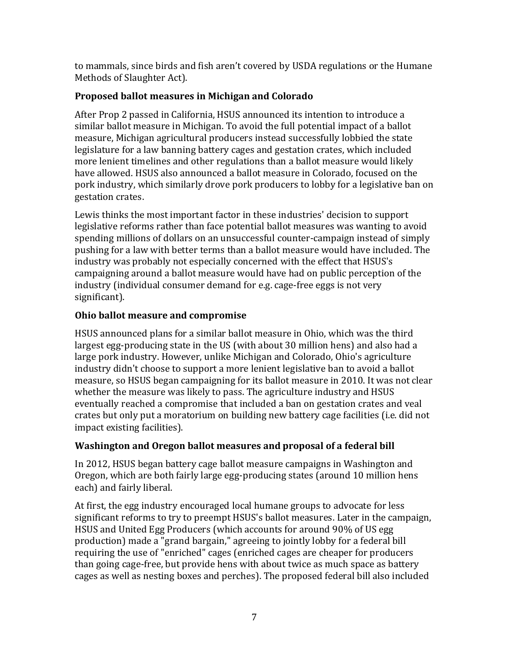to mammals, since birds and fish aren't covered by USDA regulations or the Humane Methods of Slaughter Act).

#### **Proposed ballot measures in Michigan and Colorado**

After Prop 2 passed in California, HSUS announced its intention to introduce a similar ballot measure in Michigan. To avoid the full potential impact of a ballot measure, Michigan agricultural producers instead successfully lobbied the state legislature for a law banning battery cages and gestation crates, which included more lenient timelines and other regulations than a ballot measure would likely have allowed. HSUS also announced a ballot measure in Colorado, focused on the pork industry, which similarly drove pork producers to lobby for a legislative ban on gestation crates.

Lewis thinks the most important factor in these industries' decision to support legislative reforms rather than face potential ballot measures was wanting to avoid spending millions of dollars on an unsuccessful counter-campaign instead of simply pushing for a law with better terms than a ballot measure would have included. The industry was probably not especially concerned with the effect that HSUS's campaigning around a ballot measure would have had on public perception of the industry (individual consumer demand for e.g. cage-free eggs is not very significant).

### **Ohio ballot measure and compromise**

HSUS announced plans for a similar ballot measure in Ohio, which was the third largest egg-producing state in the US (with about 30 million hens) and also had a large pork industry. However, unlike Michigan and Colorado, Ohio's agriculture industry didn't choose to support a more lenient legislative ban to avoid a ballot measure, so HSUS began campaigning for its ballot measure in 2010. It was not clear whether the measure was likely to pass. The agriculture industry and HSUS eventually reached a compromise that included a ban on gestation crates and veal crates but only put a moratorium on building new battery cage facilities (i.e. did not impact existing facilities).

### **Washington and Oregon ballot measures and proposal of a federal bill**

In 2012, HSUS began battery cage ballot measure campaigns in Washington and Oregon, which are both fairly large egg-producing states (around 10 million hens each) and fairly liberal.

At first, the egg industry encouraged local humane groups to advocate for less significant reforms to try to preempt HSUS's ballot measures. Later in the campaign, HSUS and United Egg Producers (which accounts for around 90% of US egg production) made a "grand bargain," agreeing to jointly lobby for a federal bill requiring the use of "enriched" cages (enriched cages are cheaper for producers than going cage-free, but provide hens with about twice as much space as battery cages as well as nesting boxes and perches). The proposed federal bill also included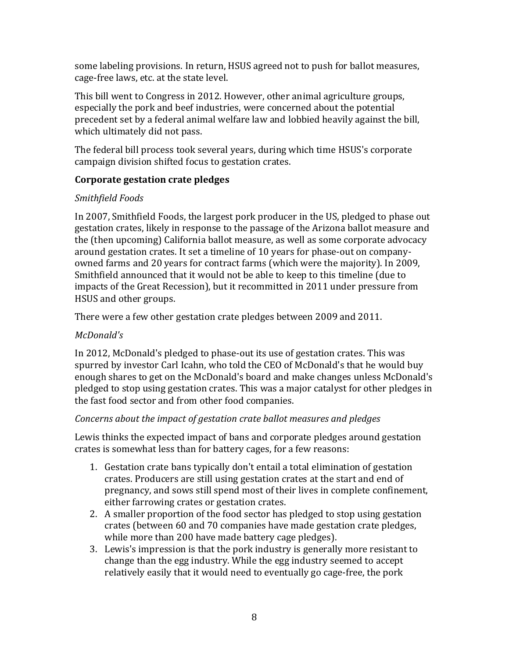some labeling provisions. In return, HSUS agreed not to push for ballot measures, cage-free laws, etc. at the state level.

This bill went to Congress in 2012. However, other animal agriculture groups, especially the pork and beef industries, were concerned about the potential precedent set by a federal animal welfare law and lobbied heavily against the bill, which ultimately did not pass.

The federal bill process took several years, during which time HSUS's corporate campaign division shifted focus to gestation crates.

#### **Corporate gestation crate pledges**

### *Smithfield Foods*

In 2007, Smithfield Foods, the largest pork producer in the US, pledged to phase out gestation crates, likely in response to the passage of the Arizona ballot measure and the (then upcoming) California ballot measure, as well as some corporate advocacy around gestation crates. It set a timeline of 10 years for phase-out on companyowned farms and 20 years for contract farms (which were the majority). In 2009, Smithfield announced that it would not be able to keep to this timeline (due to impacts of the Great Recession), but it recommitted in 2011 under pressure from HSUS and other groups.

There were a few other gestation crate pledges between 2009 and 2011.

### *McDonald's*

In 2012, McDonald's pledged to phase-out its use of gestation crates. This was spurred by investor Carl Icahn, who told the CEO of McDonald's that he would buy enough shares to get on the McDonald's board and make changes unless McDonald's pledged to stop using gestation crates. This was a major catalyst for other pledges in the fast food sector and from other food companies.

#### *Concerns about the impact of gestation crate ballot measures and pledges*

Lewis thinks the expected impact of bans and corporate pledges around gestation crates is somewhat less than for battery cages, for a few reasons:

- 1. Gestation crate bans typically don't entail a total elimination of gestation crates. Producers are still using gestation crates at the start and end of pregnancy, and sows still spend most of their lives in complete confinement, either farrowing crates or gestation crates.
- 2. A smaller proportion of the food sector has pledged to stop using gestation crates (between 60 and 70 companies have made gestation crate pledges, while more than 200 have made battery cage pledges).
- 3. Lewis's impression is that the pork industry is generally more resistant to change than the egg industry. While the egg industry seemed to accept relatively easily that it would need to eventually go cage-free, the pork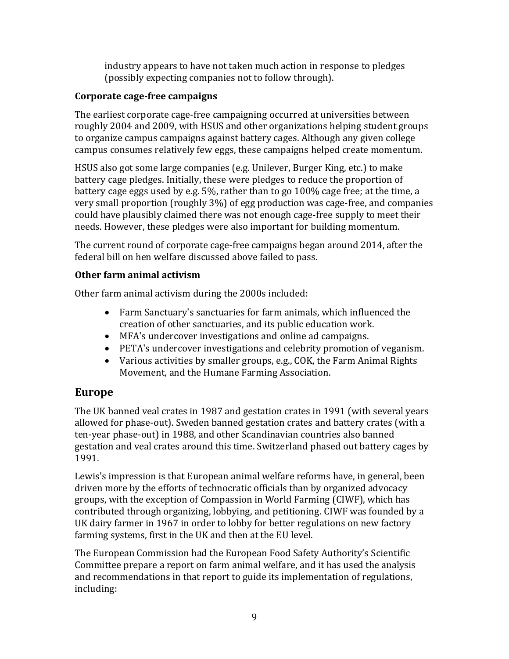industry appears to have not taken much action in response to pledges (possibly expecting companies not to follow through).

#### **Corporate cage-free campaigns**

The earliest corporate cage-free campaigning occurred at universities between roughly 2004 and 2009, with HSUS and other organizations helping student groups to organize campus campaigns against battery cages. Although any given college campus consumes relatively few eggs, these campaigns helped create momentum.

HSUS also got some large companies (e.g. Unilever, Burger King, etc.) to make battery cage pledges. Initially, these were pledges to reduce the proportion of battery cage eggs used by e.g. 5%, rather than to go 100% cage free; at the time, a very small proportion (roughly 3%) of egg production was cage-free, and companies could have plausibly claimed there was not enough cage-free supply to meet their needs. However, these pledges were also important for building momentum.

The current round of corporate cage-free campaigns began around 2014, after the federal bill on hen welfare discussed above failed to pass.

### **Other farm animal activism**

Other farm animal activism during the 2000s included:

- Farm Sanctuary's sanctuaries for farm animals, which influenced the creation of other sanctuaries, and its public education work.
- MFA's undercover investigations and online ad campaigns.
- PETA's undercover investigations and celebrity promotion of veganism.
- Various activities by smaller groups, e.g., COK, the Farm Animal Rights Movement, and the Humane Farming Association.

# **Europe**

The UK banned veal crates in 1987 and gestation crates in 1991 (with several years allowed for phase-out). Sweden banned gestation crates and battery crates (with a ten-year phase-out) in 1988, and other Scandinavian countries also banned gestation and veal crates around this time. Switzerland phased out battery cages by 1991.

Lewis's impression is that European animal welfare reforms have, in general, been driven more by the efforts of technocratic officials than by organized advocacy groups, with the exception of Compassion in World Farming (CIWF), which has contributed through organizing, lobbying, and petitioning. CIWF was founded by a UK dairy farmer in 1967 in order to lobby for better regulations on new factory farming systems, first in the UK and then at the EU level.

The European Commission had the European Food Safety Authority's Scientific Committee prepare a report on farm animal welfare, and it has used the analysis and recommendations in that report to guide its implementation of regulations, including: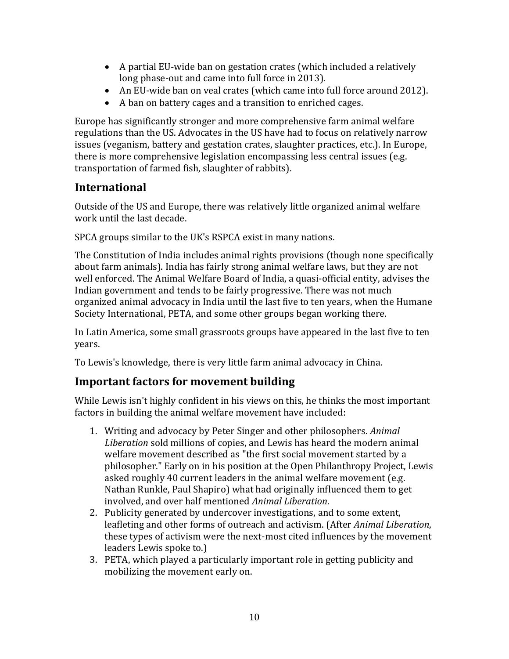- A partial EU-wide ban on gestation crates (which included a relatively long phase-out and came into full force in 2013).
- An EU-wide ban on veal crates (which came into full force around 2012).
- A ban on battery cages and a transition to enriched cages.

Europe has significantly stronger and more comprehensive farm animal welfare regulations than the US. Advocates in the US have had to focus on relatively narrow issues (veganism, battery and gestation crates, slaughter practices, etc.). In Europe, there is more comprehensive legislation encompassing less central issues (e.g. transportation of farmed fish, slaughter of rabbits).

# **International**

Outside of the US and Europe, there was relatively little organized animal welfare work until the last decade.

SPCA groups similar to the UK's RSPCA exist in many nations.

The Constitution of India includes animal rights provisions (though none specifically about farm animals). India has fairly strong animal welfare laws, but they are not well enforced. The Animal Welfare Board of India, a quasi-official entity, advises the Indian government and tends to be fairly progressive. There was not much organized animal advocacy in India until the last five to ten years, when the Humane Society International, PETA, and some other groups began working there.

In Latin America, some small grassroots groups have appeared in the last five to ten years.

To Lewis's knowledge, there is very little farm animal advocacy in China.

# **Important factors for movement building**

While Lewis isn't highly confident in his views on this, he thinks the most important factors in building the animal welfare movement have included:

- 1. Writing and advocacy by Peter Singer and other philosophers. *Animal Liberation* sold millions of copies, and Lewis has heard the modern animal welfare movement described as "the first social movement started by a philosopher." Early on in his position at the Open Philanthropy Project, Lewis asked roughly 40 current leaders in the animal welfare movement (e.g. Nathan Runkle, Paul Shapiro) what had originally influenced them to get involved, and over half mentioned *Animal Liberation*.
- 2. Publicity generated by undercover investigations, and to some extent, leafleting and other forms of outreach and activism. (After *Animal Liberation*, these types of activism were the next-most cited influences by the movement leaders Lewis spoke to.)
- 3. PETA, which played a particularly important role in getting publicity and mobilizing the movement early on.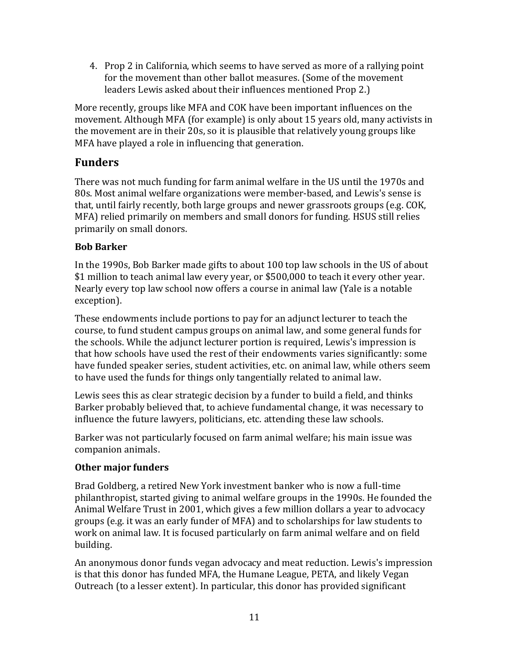4. Prop 2 in California, which seems to have served as more of a rallying point for the movement than other ballot measures. (Some of the movement leaders Lewis asked about their influences mentioned Prop 2.)

More recently, groups like MFA and COK have been important influences on the movement. Although MFA (for example) is only about 15 years old, many activists in the movement are in their 20s, so it is plausible that relatively young groups like MFA have played a role in influencing that generation.

# **Funders**

There was not much funding for farm animal welfare in the US until the 1970s and 80s. Most animal welfare organizations were member-based, and Lewis's sense is that, until fairly recently, both large groups and newer grassroots groups (e.g. COK, MFA) relied primarily on members and small donors for funding. HSUS still relies primarily on small donors.

### **Bob Barker**

In the 1990s, Bob Barker made gifts to about 100 top law schools in the US of about \$1 million to teach animal law every year, or \$500,000 to teach it every other year. Nearly every top law school now offers a course in animal law (Yale is a notable exception).

These endowments include portions to pay for an adjunct lecturer to teach the course, to fund student campus groups on animal law, and some general funds for the schools. While the adjunct lecturer portion is required, Lewis's impression is that how schools have used the rest of their endowments varies significantly: some have funded speaker series, student activities, etc. on animal law, while others seem to have used the funds for things only tangentially related to animal law.

Lewis sees this as clear strategic decision by a funder to build a field, and thinks Barker probably believed that, to achieve fundamental change, it was necessary to influence the future lawyers, politicians, etc. attending these law schools.

Barker was not particularly focused on farm animal welfare; his main issue was companion animals.

#### **Other major funders**

Brad Goldberg, a retired New York investment banker who is now a full-time philanthropist, started giving to animal welfare groups in the 1990s. He founded the Animal Welfare Trust in 2001, which gives a few million dollars a year to advocacy groups (e.g. it was an early funder of MFA) and to scholarships for law students to work on animal law. It is focused particularly on farm animal welfare and on field building.

An anonymous donor funds vegan advocacy and meat reduction. Lewis's impression is that this donor has funded MFA, the Humane League, PETA, and likely Vegan Outreach (to a lesser extent). In particular, this donor has provided significant